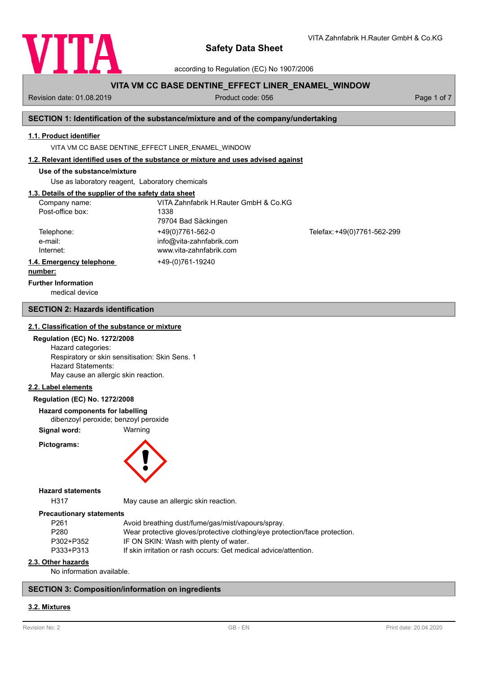

according to Regulation (EC) No 1907/2006

# **VITA VM CC BASE DENTINE\_EFFECT LINER\_ENAMEL\_WINDOW**

Revision date: 01.08.2019 **Product code: 056** Product code: 056 Page 1 of 7

VITA Zahnfabrik H.Rauter GmbH & Co.KG

### **SECTION 1: Identification of the substance/mixture and of the company/undertaking**

### **1.1. Product identifier**

VITA VM CC BASE DENTINE\_EFFECT LINER\_ENAMEL\_WINDOW

### **1.2. Relevant identified uses of the substance or mixture and uses advised against**

## **Use of the substance/mixture**

Use as laboratory reagent, Laboratory chemicals

## **1.3. Details of the supplier of the safety data sheet**

| Company name:            | VITA Zahnfabrik H.Rauter GmbH & Co.KG |                             |
|--------------------------|---------------------------------------|-----------------------------|
| Post-office box:         | 1338                                  |                             |
|                          | 79704 Bad Säckingen                   |                             |
| Telephone:               | +49(0)7761-562-0                      | Telefax: +49(0)7761-562-299 |
| e-mail:                  | info@vita-zahnfabrik.com              |                             |
| Internet:                | www.vita-zahnfabrik.com               |                             |
| 1.4. Emergency telephone | +49-(0)761-19240                      |                             |
| المتمام والممتنعة        |                                       |                             |

#### **number:**

**Further Information**

medical device

## **SECTION 2: Hazards identification**

### **2.1. Classification of the substance or mixture**

### **Regulation (EC) No. 1272/2008**

Hazard categories: Respiratory or skin sensitisation: Skin Sens. 1 Hazard Statements: May cause an allergic skin reaction.

### **2.2. Label elements**

### **Regulation (EC) No. 1272/2008**

**Hazard components for labelling**

dibenzoyl peroxide; benzoyl peroxide

**Signal word:** Warning

**Pictograms:**



#### **Hazard statements**

H317 May cause an allergic skin reaction.

#### **Precautionary statements**

| P261      | Avoid breathing dust/fume/gas/mist/vapours/spray.                          |
|-----------|----------------------------------------------------------------------------|
| P280      | Wear protective gloves/protective clothing/eye protection/face protection. |
| P302+P352 | IF ON SKIN: Wash with plenty of water.                                     |
| P333+P313 | If skin irritation or rash occurs: Get medical advice/attention.           |
|           |                                                                            |

## **2.3. Other hazards**

No information available.

## **SECTION 3: Composition/information on ingredients**

### **3.2. Mixtures**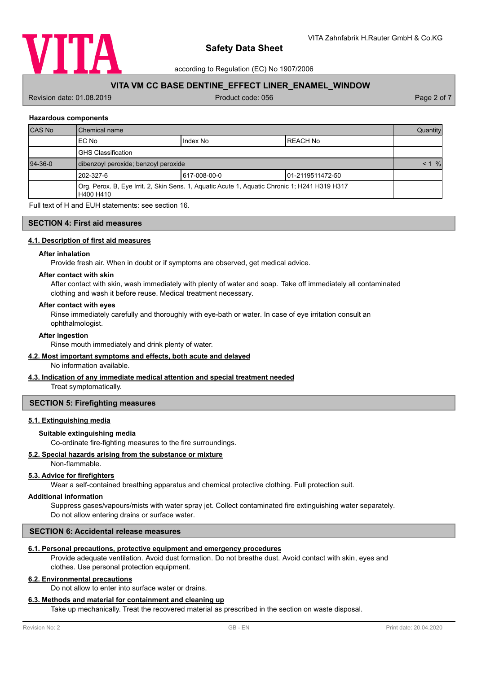

according to Regulation (EC) No 1907/2006

# **VITA VM CC BASE DENTINE\_EFFECT LINER\_ENAMEL\_WINDOW**

Revision date: 01.08.2019 **Product code: 056** Product code: 056 Page 2 of 7

### **Hazardous components**

| <b>CAS No</b> | l Chemical name                                                                                            |               | Quantity             |  |
|---------------|------------------------------------------------------------------------------------------------------------|---------------|----------------------|--|
|               | EC No                                                                                                      | Index No      | IREACH No            |  |
|               | <b>GHS Classification</b>                                                                                  |               |                      |  |
| $94-36-0$     | dibenzoyl peroxide; benzoyl peroxide                                                                       |               | $\frac{9}{6}$<br>< 1 |  |
|               | 1202-327-6                                                                                                 | 1617-008-00-0 | 101-2119511472-50    |  |
|               | Org. Perox. B, Eye Irrit. 2, Skin Sens. 1, Aquatic Acute 1, Aquatic Chronic 1; H241 H319 H317<br>H400 H410 |               |                      |  |

Full text of H and EUH statements: see section 16.

## **SECTION 4: First aid measures**

### **4.1. Description of first aid measures**

#### **After inhalation**

Provide fresh air. When in doubt or if symptoms are observed, get medical advice.

#### **After contact with skin**

After contact with skin, wash immediately with plenty of water and soap. Take off immediately all contaminated clothing and wash it before reuse. Medical treatment necessary.

### **After contact with eyes**

Rinse immediately carefully and thoroughly with eye-bath or water. In case of eye irritation consult an ophthalmologist.

#### **After ingestion**

Rinse mouth immediately and drink plenty of water.

### **4.2. Most important symptoms and effects, both acute and delayed**

No information available.

## **4.3. Indication of any immediate medical attention and special treatment needed**

Treat symptomatically.

### **SECTION 5: Firefighting measures**

# **5.1. Extinguishing media**

### **Suitable extinguishing media**

Co-ordinate fire-fighting measures to the fire surroundings.

### **5.2. Special hazards arising from the substance or mixture**

Non-flammable.

### **5.3. Advice for firefighters**

Wear a self-contained breathing apparatus and chemical protective clothing. Full protection suit.

#### **Additional information**

Suppress gases/vapours/mists with water spray jet. Collect contaminated fire extinguishing water separately. Do not allow entering drains or surface water.

### **SECTION 6: Accidental release measures**

#### **6.1. Personal precautions, protective equipment and emergency procedures**

Provide adequate ventilation. Avoid dust formation. Do not breathe dust. Avoid contact with skin, eyes and clothes. Use personal protection equipment.

### **6.2. Environmental precautions**

Do not allow to enter into surface water or drains.

# **6.3. Methods and material for containment and cleaning up**

Take up mechanically. Treat the recovered material as prescribed in the section on waste disposal.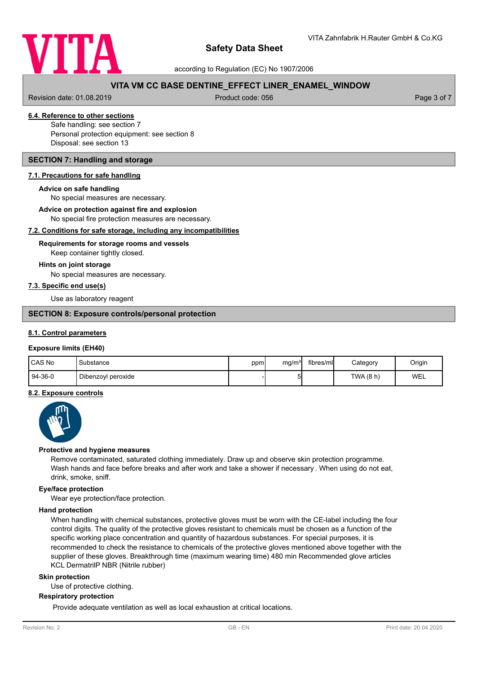

according to Regulation (EC) No 1907/2006

# **VITA VM CC BASE DENTINE\_EFFECT LINER\_ENAMEL\_WINDOW**

Revision date: 01.08.2019 **Product code: 056** Product code: 056 Page 3 of 7

# **6.4. Reference to other sections**

Safe handling: see section 7 Personal protection equipment: see section 8 Disposal: see section 13

## **SECTION 7: Handling and storage**

### **7.1. Precautions for safe handling**

#### **Advice on safe handling**

No special measures are necessary.

**Advice on protection against fire and explosion**

No special fire protection measures are necessary.

### **7.2. Conditions for safe storage, including any incompatibilities**

## Keep container tightly closed. **Requirements for storage rooms and vessels**

#### **Hints on joint storage**

No special measures are necessary.

### **7.3. Specific end use(s)**

Use as laboratory reagent

### **SECTION 8: Exposure controls/personal protection**

### **8.1. Control parameters**

### **Exposure limits (EH40)**

| CAS No    | Substance          | ppm | mg/m <sup>3</sup> | fibres/mll | Category  | Origin |
|-----------|--------------------|-----|-------------------|------------|-----------|--------|
| $94-36-0$ | Dibenzoyl peroxide |     | י<br>ີ            |            | TWA (8 h) | WEL    |

### **8.2. Exposure controls**



#### **Protective and hygiene measures**

Remove contaminated, saturated clothing immediately. Draw up and observe skin protection programme. Wash hands and face before breaks and after work and take a shower if necessary . When using do not eat, drink, smoke, sniff.

### **Eye/face protection**

Wear eye protection/face protection.

# **Hand protection**

When handling with chemical substances, protective gloves must be worn with the CE-label including the four control digits. The quality of the protective gloves resistant to chemicals must be chosen as a function of the specific working place concentration and quantity of hazardous substances. For special purposes, it is recommended to check the resistance to chemicals of the protective gloves mentioned above together with the supplier of these gloves. Breakthrough time (maximum wearing time) 480 min Recommended glove articles KCL DermatrilP NBR (Nitrile rubber)

#### **Skin protection**

Use of protective clothing.

### **Respiratory protection**

Provide adequate ventilation as well as local exhaustion at critical locations.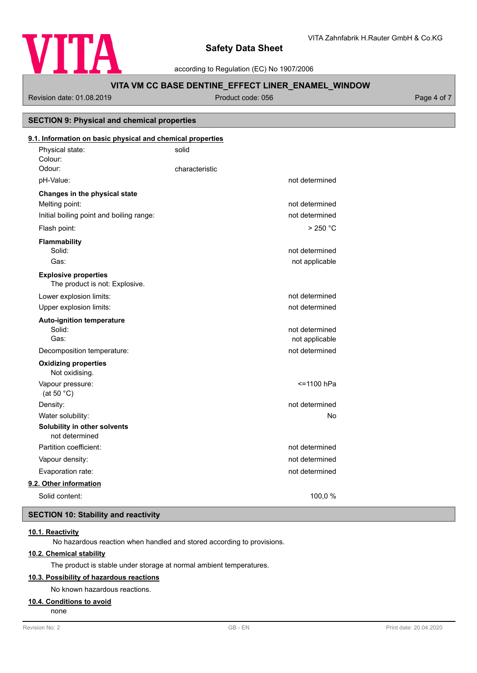

according to Regulation (EC) No 1907/2006

# **VITA VM CC BASE DENTINE\_EFFECT LINER\_ENAMEL\_WINDOW**

Revision date: 01.08.2019 **Product code: 056** Product code: 056 Page 4 of 7

**SECTION 9: Physical and chemical properties**

# Physical state: solid Colour: **9.1. Information on basic physical and chemical properties** Odour: Characteristic pH-Value: not determined **Changes in the physical state** Melting point: not determined Initial boiling point and boiling range: not determined Flash point: > 250 °C **Flammability** Solid: **not determined** and the solid: **not determined** and the solid: **not determined** and the solid: **not determined** and the solid: **not determined** and the solid: **not determined** and the solid: **note** that the solid: Gas: contract the contract of the contract of the contract of the contract of the contract of the contract of the contract of the contract of the contract of the contract of the contract of the contract of the contract of The product is not: Explosive. **Explosive properties** Lower explosion limits:  $\qquad \qquad \qquad$  not determined Upper explosion limits:  $\blacksquare$ **Auto-ignition temperature** Solid: **not determined** and the solid: **not determined** and the solid: **not determined** and the solid: **not determined** and the solid: **not determined** and the solid: **not determined** and the solid: **note** that the solid: Gas: Gas: not applicable contract to the contract of the contract of the contract of the contract of the contract of the contract of the contract of the contract of the contract of the contract of the contract of the contr Decomposition temperature: not determined Not oxidising. **Oxidizing properties** Vapour pressure:  $\le$  1100 hPa (at 50 °C) Density: not determined Water solubility: No **Solubility in other solvents** not determined Partition coefficient: not determined Vapour density: not determined Evaporation rate: not determined **9.2. Other information** Solid content: 100,0 %

# **SECTION 10: Stability and reactivity**

# **10.1. Reactivity**

No hazardous reaction when handled and stored according to provisions.

## **10.2. Chemical stability**

The product is stable under storage at normal ambient temperatures.

## **10.3. Possibility of hazardous reactions**

No known hazardous reactions.

### **10.4. Conditions to avoid**

none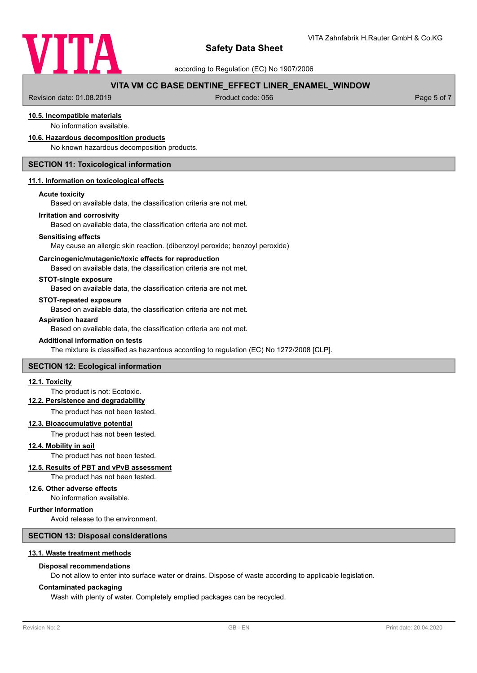

according to Regulation (EC) No 1907/2006

# **VITA VM CC BASE DENTINE\_EFFECT LINER\_ENAMEL\_WINDOW**

Revision date: 01.08.2019 **Product code: 056** Product code: 056 Page 5 of 7

# **10.5. Incompatible materials**

No information available.

### **10.6. Hazardous decomposition products**

No known hazardous decomposition products.

### **SECTION 11: Toxicological information**

#### **11.1. Information on toxicological effects**

#### **Acute toxicity**

Based on available data, the classification criteria are not met.

#### **Irritation and corrosivity**

Based on available data, the classification criteria are not met.

#### **Sensitising effects**

May cause an allergic skin reaction. (dibenzoyl peroxide; benzoyl peroxide)

#### **Carcinogenic/mutagenic/toxic effects for reproduction**

Based on available data, the classification criteria are not met.

### **STOT-single exposure**

Based on available data, the classification criteria are not met.

#### **STOT-repeated exposure**

Based on available data, the classification criteria are not met.

### **Aspiration hazard**

Based on available data, the classification criteria are not met.

### **Additional information on tests**

The mixture is classified as hazardous according to regulation (EC) No 1272/2008 [CLP].

### **SECTION 12: Ecological information**

#### **12.1. Toxicity**

## The product is not: Ecotoxic.

# **12.2. Persistence and degradability**

The product has not been tested.

### **12.3. Bioaccumulative potential**

The product has not been tested.

**12.4. Mobility in soil**

# The product has not been tested.

## **12.5. Results of PBT and vPvB assessment**

The product has not been tested.

### **12.6. Other adverse effects**

No information available.

### **Further information**

Avoid release to the environment.

### **SECTION 13: Disposal considerations**

### **13.1. Waste treatment methods**

### **Disposal recommendations**

Do not allow to enter into surface water or drains. Dispose of waste according to applicable legislation.

### **Contaminated packaging**

Wash with plenty of water. Completely emptied packages can be recycled.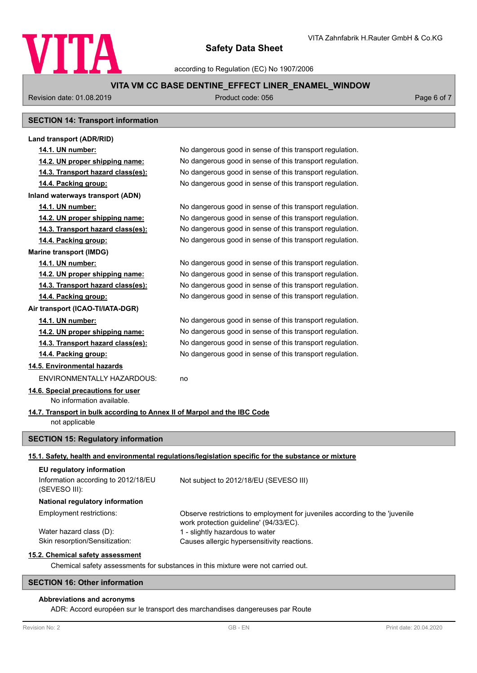

according to Regulation (EC) No 1907/2006

# **VITA VM CC BASE DENTINE\_EFFECT LINER\_ENAMEL\_WINDOW**

Revision date: 01.08.2019 **Product code: 056** Product code: 056 Page 6 of 7

# **SECTION 14: Transport information**

| Land transport (ADR/RID)                                                 |                                                                                                                       |  |
|--------------------------------------------------------------------------|-----------------------------------------------------------------------------------------------------------------------|--|
| 14.1. UN number:                                                         | No dangerous good in sense of this transport regulation.                                                              |  |
| 14.2. UN proper shipping name:                                           | No dangerous good in sense of this transport regulation.                                                              |  |
| 14.3. Transport hazard class(es):                                        | No dangerous good in sense of this transport regulation.                                                              |  |
| 14.4. Packing group:                                                     | No dangerous good in sense of this transport regulation.                                                              |  |
| Inland waterways transport (ADN)                                         |                                                                                                                       |  |
| 14.1. UN number:                                                         | No dangerous good in sense of this transport regulation.                                                              |  |
| 14.2. UN proper shipping name:                                           | No dangerous good in sense of this transport regulation.                                                              |  |
| 14.3. Transport hazard class(es):                                        | No dangerous good in sense of this transport regulation.                                                              |  |
| 14.4. Packing group:                                                     | No dangerous good in sense of this transport regulation.                                                              |  |
| <b>Marine transport (IMDG)</b>                                           |                                                                                                                       |  |
| 14.1. UN number:                                                         | No dangerous good in sense of this transport regulation.                                                              |  |
| 14.2. UN proper shipping name:                                           | No dangerous good in sense of this transport regulation.                                                              |  |
| 14.3. Transport hazard class(es):                                        | No dangerous good in sense of this transport regulation.                                                              |  |
| 14.4. Packing group:                                                     | No dangerous good in sense of this transport regulation.                                                              |  |
| Air transport (ICAO-TI/IATA-DGR)                                         |                                                                                                                       |  |
| 14.1. UN number:                                                         | No dangerous good in sense of this transport regulation.                                                              |  |
| 14.2. UN proper shipping name:                                           | No dangerous good in sense of this transport regulation.                                                              |  |
| 14.3. Transport hazard class(es):                                        | No dangerous good in sense of this transport regulation.                                                              |  |
| 14.4. Packing group:                                                     | No dangerous good in sense of this transport regulation.                                                              |  |
| 14.5. Environmental hazards                                              |                                                                                                                       |  |
| <b>ENVIRONMENTALLY HAZARDOUS:</b>                                        | no                                                                                                                    |  |
| 14.6. Special precautions for user<br>No information available.          |                                                                                                                       |  |
| 14.7. Transport in bulk according to Annex II of Marpol and the IBC Code |                                                                                                                       |  |
| not applicable                                                           |                                                                                                                       |  |
|                                                                          |                                                                                                                       |  |
| <b>SECTION 15: Regulatory information</b>                                |                                                                                                                       |  |
|                                                                          | 15.1. Safety, health and environmental regulations/legislation specific for the substance or mixture                  |  |
| EU regulatory information                                                |                                                                                                                       |  |
| Information according to 2012/18/EU<br>(SEVESO III):                     | Not subject to 2012/18/EU (SEVESO III)                                                                                |  |
| National regulatory information                                          |                                                                                                                       |  |
| Employment restrictions:                                                 | Observe restrictions to employment for juveniles according to the 'juvenile<br>work protection guideline' (94/33/EC). |  |
| Water hazard class (D):                                                  | 1 - slightly hazardous to water                                                                                       |  |
| Skin resorption/Sensitization:                                           | Causes allergic hypersensitivity reactions.                                                                           |  |
| 15.2. Chemical safety assessment                                         |                                                                                                                       |  |
|                                                                          | Chemical safety assessments for substances in this mixture were not carried out.                                      |  |
| <b>SECTION 16: Other information</b>                                     |                                                                                                                       |  |

# **Abbreviations and acronyms**

ADR: Accord européen sur le transport des marchandises dangereuses par Route